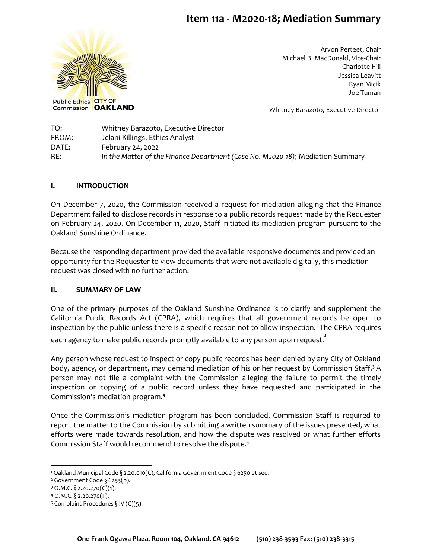# **Item 11a - M2020-18; Mediation Summary**



Arvon Perteet, Chair Michael B. MacDonald, Vice-Chair Charlotte Hill Jessica Leavitt Ryan Micik Joe Tuman

Whitney Barazoto, Executive Director

TO: Whitney Barazoto, Executive Director FROM: Jelani Killings, Ethics Analyst DATE: February 24, 2022 RE: *In the Matter of the Finance Department (Case No. M2020-18)*; Mediation Summary

### **I. INTRODUCTION**

On December 7, 2020, the Commission received a request for mediation alleging that the Finance Department failed to disclose records in response to a public records request made by the Requester on February 24, 2020. On December 11, 2020, Staff initiated its mediation program pursuant to the Oakland Sunshine Ordinance.

Because the responding department provided the available responsive documents and provided an opportunity for the Requester to view documents that were not available digitally, this mediation request was closed with no further action.

### **II. SUMMARY OF LAW**

One of the primary purposes of the Oakland Sunshine Ordinance is to clarify and supplement the California Public Records Act (CPRA), which requires that all government records be open to inspection by the public unless there is a specific reason not to allow inspection.<sup>1</sup> The CPRA requires each agency to make public records promptly available to any person upon request. $\overline{\phantom{a}^{2}}$ 

Any person whose request to inspect or copy public records has been denied by any City of Oakland body, agency, or department, may demand mediation of his or her request by Commission Staff.<sup>3</sup> A person may not file a complaint with the Commission alleging the failure to permit the timely inspection or copying of a public record unless they have requested and participated in the Commission's mediation program.<sup>4</sup>

Once the Commission's mediation program has been concluded, Commission Staff is required to report the matter to the Commission by submitting a written summary of the issues presented, what efforts were made towards resolution, and how the dispute was resolved or what further efforts Commission Staff would recommend to resolve the dispute.<sup>5</sup>

<sup>1</sup> Oakland Municipal Code § 2.20.010(C); California Government Code § 6250 et seq.

<sup>&</sup>lt;sup>2</sup> Government Code § 6253(b).

 $3$  O.M.C. § 2.20.270(C)(1).

<sup>4</sup> O.M.C. § 2.20.270(F).

<sup>&</sup>lt;sup>5</sup> Complaint Procedures § IV (C)(5).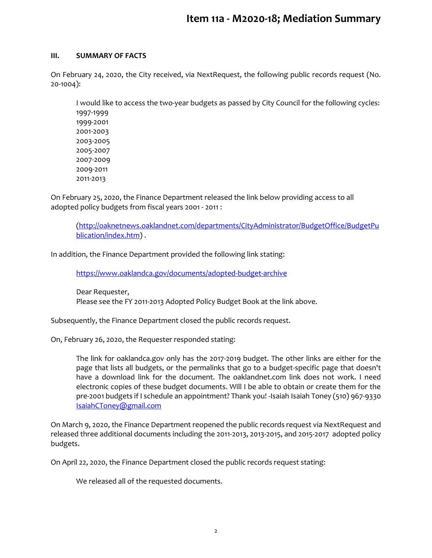## **Item 11a - M2020-18; Mediation Summary**

### **III. SUMMARY OF FACTS**

On February 24, 2020, the City received, via NextRequest, the following public records request (No. 20-1004):

I would like to access the two-year budgets as passed by City Council for the following cycles: 1997-1999 1999-2001 2001-2003 2003-2005 2005-2007 2007-2009 2009-2011 2011-2013

On February 25, 2020, the Finance Department released the link below providing access to all adopted policy budgets from fiscal years 2001 - 2011 :

[\(http://oaknetnews.oaklandnet.com/departments/CityAdministrator/BudgetOffice/BudgetPu](http://oaknetnews.oaklandnet.com/departments/CityAdministrator/BudgetOffice/BudgetPublication/index.htm) [blication/index.htm\)](http://oaknetnews.oaklandnet.com/departments/CityAdministrator/BudgetOffice/BudgetPublication/index.htm) .

In addition, the Finance Department provided the following link stating:

<https://www.oaklandca.gov/documents/adopted-budget-archive>

Dear Requester, Please see the FY 2011-2013 Adopted Policy Budget Book at the link above.

Subsequently, the Finance Department closed the public records request.

On, February 26, 2020, the Requester responded stating:

The link for oaklandca.gov only has the 2017-2019 budget. The other links are either for the page that lists all budgets, or the permalinks that go to a budget-specific page that doesn't have a download link for the document. The oaklandnet.com link does not work. I need electronic copies of these budget documents. Will I be able to obtain or create them for the pre-2001 budgets if I schedule an appointment? Thank you! -Isaiah Isaiah Toney (510) 967-9330 [IsaiahCToney@gmail.com](mailto:IsaiahCToney@gmail.com)

On March 9, 2020, the Finance Department reopened the public records request via NextRequest and released three additional documents including the 2011-2013, 2013-2015, and 2015-2017 adopted policy budgets.

On April 22, 2020, the Finance Department closed the public records request stating:

We released all of the requested documents.